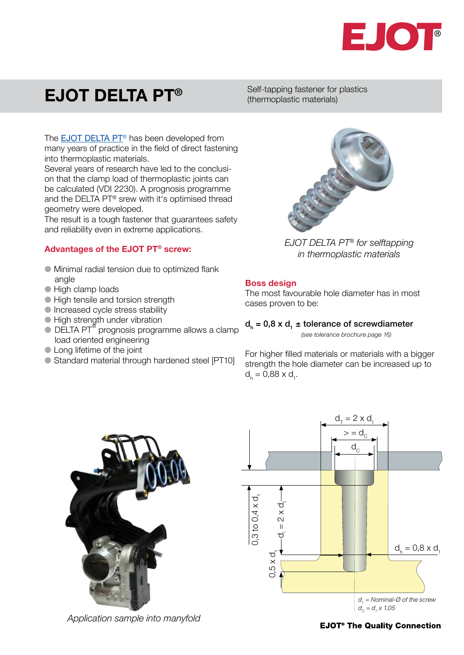

# EJOT DELTA PT®

Self-tapping fastener for plastics (thermoplastic materials)

The **[EJOT DELTA PT](http://www.ejot.com/Industrial-Fasteners-Division/Products/DELTA-PT%3Csup%3E%26reg%3B%3C-sup%3E/p/VBT_DELTA_PT)<sup>®</sup>** has been developed from many years of practice in the field of direct fastening into thermoplastic materials.

Several years of research have led to the conclusion that the clamp load of thermoplastic joints can be calculated (VDI 2230). A prognosis programme and the DELTA PT® srew with it's optimised thread geometry were developed.

The result is a tough fastener that guarantees safety and reliability even in extreme applications.

### Advantages of the EJOT PT® screw:

- $\bullet$  Minimal radial tension due to optimized flank angle
- High clamp loads
- **In High tensile and torsion strength**
- $\bullet$  Increased cycle stress stability
- **High strength under vibration**
- $\bullet$  DELTA PT $^\circ$  prognosis programme allows a clamp load oriented engineering
- Long lifetime of the joint
- Standard material through hardened steel [PT10]



*EJOT DELTA PT® for selftapping in thermoplastic materials*

### Boss design

The most favourable hole diameter has in most cases proven to be:

#### $d_h = 0.8 \times d_1 \pm$  tolerance of screwdiameter

*(see tolerance brochure page 16)*

For higher filled materials or materials with a bigger strength the hole diameter can be increased up to  $d_h = 0.88 \times d_1.$ 



*Application sample into manyfold*



### **EJOT<sup>®</sup> The Quality Connection**